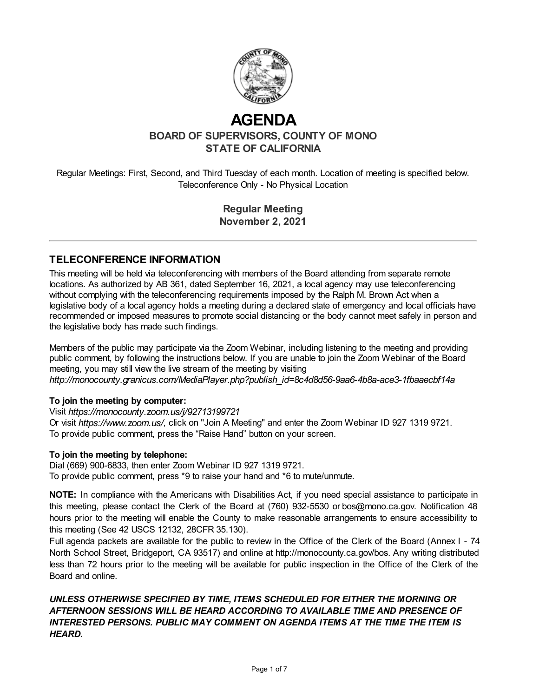

# **AGENDA**

**BOARD OF SUPERVISORS, COUNTY OF MONO STATE OF CALIFORNIA**

Regular Meetings: First, Second, and Third Tuesday of each month. Location of meeting is specified below. Teleconference Only - No Physical Location

> **Regular Meeting November 2, 2021**

## **TELECONFERENCE INFORMATION**

This meeting will be held via teleconferencing with members of the Board attending from separate remote locations. As authorized by AB 361, dated September 16, 2021, a local agency may use teleconferencing without complying with the teleconferencing requirements imposed by the Ralph M. Brown Act when a legislative body of a local agency holds a meeting during a declared state of emergency and local officials have recommended or imposed measures to promote social distancing or the body cannot meet safely in person and the legislative body has made such findings.

Members of the public may participate via the Zoom Webinar, including listening to the meeting and providing public comment, by following the instructions below. If you are unable to join the Zoom Webinar of the Board meeting, you may still view the live stream of the meeting by visiting *http://monocounty.granicus.com/MediaPlayer.php?publish\_id=8c4d8d56-9aa6-4b8a-ace3-1fbaaecbf14a*

#### **To join the meeting by computer:**

Visit *https://monocounty.zoom.us/j/92713199721* 

Or visit *https://www.zoom.us/*, click on "Join A Meeting" and enter the Zoom Webinar ID 927 1319 9721. To provide public comment, press the "Raise Hand" button on your screen.

#### **To join the meeting by telephone:**

Dial (669) 900-6833, then enter Zoom Webinar ID 927 1319 9721. To provide public comment, press \*9 to raise your hand and \*6 to mute/unmute.

**NOTE:** In compliance with the Americans with Disabilities Act, if you need special assistance to participate in this meeting, please contact the Clerk of the Board at (760) 932-5530 or [bos@mono.ca.gov](mailto:bos@mono.ca.gov). Notification 48 hours prior to the meeting will enable the County to make reasonable arrangements to ensure accessibility to this meeting (See 42 USCS 12132, 28CFR 35.130).

Full agenda packets are available for the public to review in the Office of the Clerk of the Board (Annex I - 74 North School Street, Bridgeport, CA 93517) and online at http://monocounty.ca.gov/bos. Any writing distributed less than 72 hours prior to the meeting will be available for public inspection in the Office of the Clerk of the Board and online.

## *UNLESS OTHERWISE SPECIFIED BY TIME, ITEMS SCHEDULED FOR EITHER THE MORNING OR AFTERNOON SESSIONS WILL BE HEARD ACCORDING TO AVAILABLE TIME AND PRESENCE OF INTERESTED PERSONS. PUBLIC MAY COMMENT ON AGENDA ITEMS AT THE TIME THE ITEM IS HEARD.*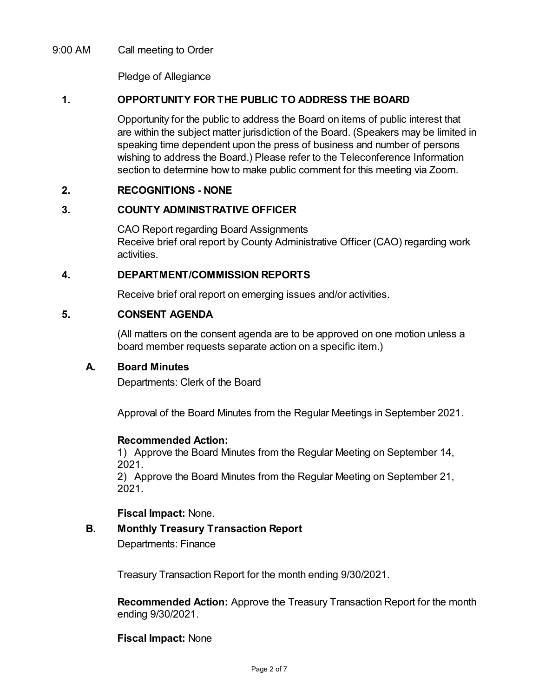## 9:00 AM Call meeting to Order

Pledge of Allegiance

## **1. OPPORTUNITY FOR THE PUBLIC TO ADDRESS THE BOARD**

Opportunity for the public to address the Board on items of public interest that are within the subject matter jurisdiction of the Board. (Speakers may be limited in speaking time dependent upon the press of business and number of persons wishing to address the Board.) Please refer to the Teleconference Information section to determine how to make public comment for this meeting via Zoom.

#### **2. RECOGNITIONS - NONE**

## **3. COUNTY ADMINISTRATIVE OFFICER**

CAO Report regarding Board Assignments Receive brief oral report by County Administrative Officer (CAO) regarding work activities.

## **4. DEPARTMENT/COMMISSION REPORTS**

Receive brief oral report on emerging issues and/or activities.

## **5. CONSENT AGENDA**

(All matters on the consent agenda are to be approved on one motion unless a board member requests separate action on a specific item.)

#### **A. Board Minutes**

Departments: Clerk of the Board

Approval of the Board Minutes from the Regular Meetings in September 2021.

#### **Recommended Action:**

1) Approve the Board Minutes from the Regular Meeting on September 14, 2021.

2) Approve the Board Minutes from the Regular Meeting on September 21, 2021.

#### **Fiscal Impact:** None.

# **B. Monthly Treasury Transaction Report**

Departments: Finance

Treasury Transaction Report for the month ending 9/30/2021.

**Recommended Action:** Approve the Treasury Transaction Report for the month ending 9/30/2021.

**Fiscal Impact:** None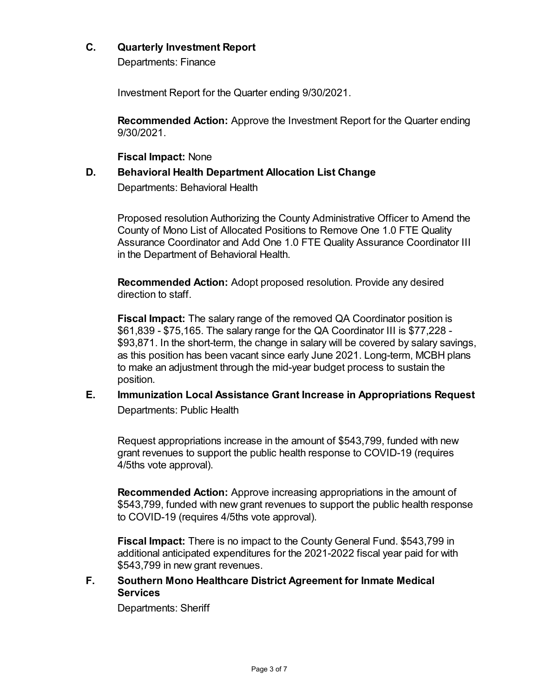## **C. Quarterly Investment Report**

Departments: Finance

Investment Report for the Quarter ending 9/30/2021.

**Recommended Action:** Approve the Investment Report for the Quarter ending 9/30/2021.

**Fiscal Impact:** None

## **D. Behavioral Health Department Allocation List Change**

Departments: Behavioral Health

Proposed resolution Authorizing the County Administrative Officer to Amend the County of Mono List of Allocated Positions to Remove One 1.0 FTE Quality Assurance Coordinator and Add One 1.0 FTE Quality Assurance Coordinator III in the Department of Behavioral Health.

**Recommended Action:** Adopt proposed resolution. Provide any desired direction to staff.

**Fiscal Impact:** The salary range of the removed QA Coordinator position is \$61,839 - \$75,165. The salary range for the QA Coordinator III is \$77,228 - \$93,871. In the short-term, the change in salary will be covered by salary savings, as this position has been vacant since early June 2021. Long-term, MCBH plans to make an adjustment through the mid-year budget process to sustain the position.

**E. Immunization Local Assistance Grant Increase in Appropriations Request** Departments: Public Health

Request appropriations increase in the amount of \$543,799, funded with new grant revenues to support the public health response to COVID-19 (requires 4/5ths vote approval).

**Recommended Action:** Approve increasing appropriations in the amount of \$543,799, funded with new grant revenues to support the public health response to COVID-19 (requires 4/5ths vote approval).

**Fiscal Impact:** There is no impact to the County General Fund. \$543,799 in additional anticipated expenditures for the 2021-2022 fiscal year paid for with \$543,799 in new grant revenues.

## **F. Southern Mono Healthcare District Agreement for Inmate Medical Services**

Departments: Sheriff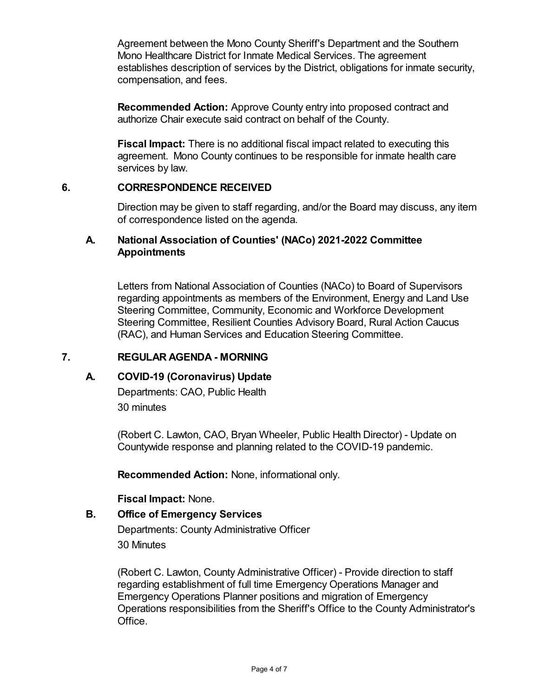Agreement between the Mono County Sheriff's Department and the Southern Mono Healthcare District for Inmate Medical Services. The agreement establishes description of services by the District, obligations for inmate security, compensation, and fees.

**Recommended Action:** Approve County entry into proposed contract and authorize Chair execute said contract on behalf of the County.

**Fiscal Impact:** There is no additional fiscal impact related to executing this agreement. Mono County continues to be responsible for inmate health care services by law.

## **6. CORRESPONDENCE RECEIVED**

Direction may be given to staff regarding, and/or the Board may discuss, any item of correspondence listed on the agenda.

## **A. National Association of Counties' (NACo) 2021-2022 Committee Appointments**

Letters from National Association of Counties (NACo) to Board of Supervisors regarding appointments as members of the Environment, Energy and Land Use Steering Committee, Community, Economic and Workforce Development Steering Committee, Resilient Counties Advisory Board, Rural Action Caucus (RAC), and Human Services and Education Steering Committee.

## **7. REGULAR AGENDA - MORNING**

## **A. COVID-19 (Coronavirus) Update**

Departments: CAO, Public Health 30 minutes

(Robert C. Lawton, CAO, Bryan Wheeler, Public Health Director) - Update on Countywide response and planning related to the COVID-19 pandemic.

**Recommended Action:** None, informational only.

**Fiscal Impact:** None.

## **B. Office of Emergency Services**

Departments: County Administrative Officer 30 Minutes

(Robert C. Lawton, County Administrative Officer) - Provide direction to staff regarding establishment of full time Emergency Operations Manager and Emergency Operations Planner positions and migration of Emergency Operations responsibilities from the Sheriff's Office to the County Administrator's Office.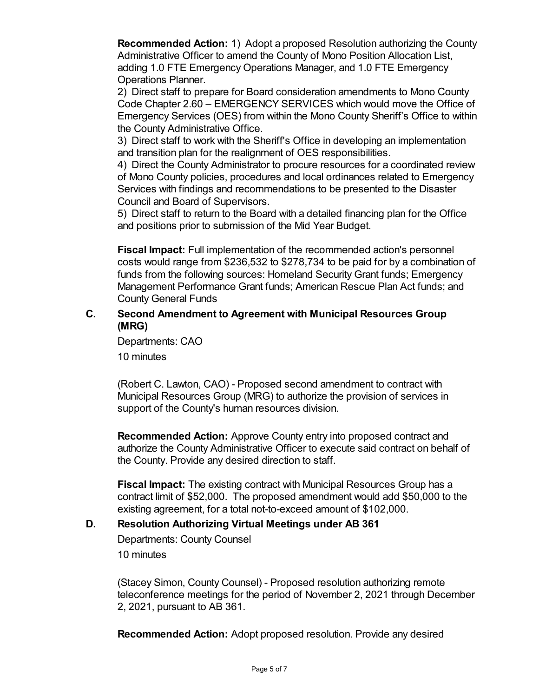**Recommended Action:** 1) Adopt a proposed Resolution authorizing the County Administrative Officer to amend the County of Mono Position Allocation List, adding 1.0 FTE Emergency Operations Manager, and 1.0 FTE Emergency Operations Planner.

2) Direct staff to prepare for Board consideration amendments to Mono County Code Chapter 2.60 – EMERGENCY SERVICES which would move the Office of Emergency Services (OES) from within the Mono County Sheriff's Office to within the County Administrative Office.

3) Direct staff to work with the Sheriff's Office in developing an implementation and transition plan for the realignment of OES responsibilities.

4) Direct the County Administrator to procure resources for a coordinated review of Mono County policies, procedures and local ordinances related to Emergency Services with findings and recommendations to be presented to the Disaster Council and Board of Supervisors.

5) Direct staff to return to the Board with a detailed financing plan for the Office and positions prior to submission of the Mid Year Budget.

**Fiscal Impact:** Full implementation of the recommended action's personnel costs would range from \$236,532 to \$278,734 to be paid for by a combination of funds from the following sources: Homeland Security Grant funds; Emergency Management Performance Grant funds; American Rescue Plan Act funds; and County General Funds

## **C. Second Amendment to Agreement with Municipal Resources Group (MRG)**

Departments: CAO 10 minutes

(Robert C. Lawton, CAO) - Proposed second amendment to contract with Municipal Resources Group (MRG) to authorize the provision of services in support of the County's human resources division.

**Recommended Action:** Approve County entry into proposed contract and authorize the County Administrative Officer to execute said contract on behalf of the County. Provide any desired direction to staff.

**Fiscal Impact:** The existing contract with Municipal Resources Group has a contract limit of \$52,000. The proposed amendment would add \$50,000 to the existing agreement, for a total not-to-exceed amount of \$102,000.

## **D. Resolution Authorizing Virtual Meetings under AB 361**

Departments: County Counsel 10 minutes

(Stacey Simon, County Counsel) - Proposed resolution authorizing remote teleconference meetings for the period of November 2, 2021 through December 2, 2021, pursuant to AB 361.

**Recommended Action:** Adopt proposed resolution. Provide any desired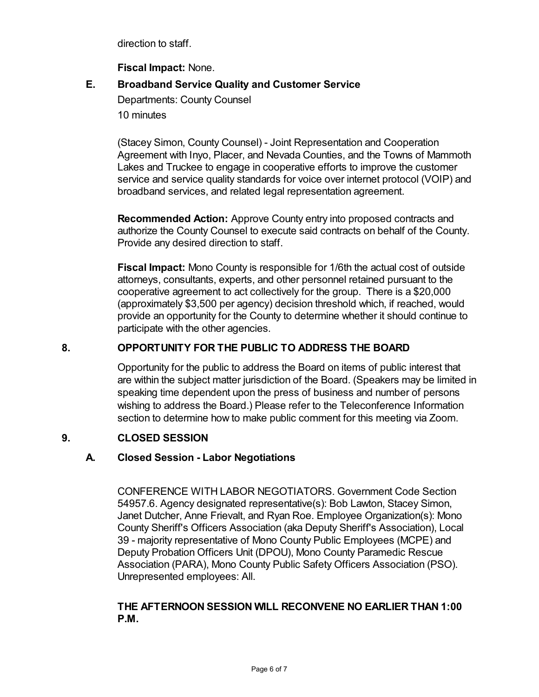direction to staff.

**Fiscal Impact:** None.

# **E. Broadband Service Quality and Customer Service**

Departments: County Counsel 10 minutes

(Stacey Simon, County Counsel) - Joint Representation and Cooperation Agreement with Inyo, Placer, and Nevada Counties, and the Towns of Mammoth Lakes and Truckee to engage in cooperative efforts to improve the customer service and service quality standards for voice over internet protocol (VOIP) and broadband services, and related legal representation agreement.

**Recommended Action:** Approve County entry into proposed contracts and authorize the County Counsel to execute said contracts on behalf of the County. Provide any desired direction to staff.

**Fiscal Impact:** Mono County is responsible for 1/6th the actual cost of outside attorneys, consultants, experts, and other personnel retained pursuant to the cooperative agreement to act collectively for the group. There is a \$20,000 (approximately \$3,500 per agency) decision threshold which, if reached, would provide an opportunity for the County to determine whether it should continue to participate with the other agencies.

## **8. OPPORTUNITY FOR THE PUBLIC TO ADDRESS THE BOARD**

Opportunity for the public to address the Board on items of public interest that are within the subject matter jurisdiction of the Board. (Speakers may be limited in speaking time dependent upon the press of business and number of persons wishing to address the Board.) Please refer to the Teleconference Information section to determine how to make public comment for this meeting via Zoom.

# **9. CLOSED SESSION**

# **A. Closed Session - Labor Negotiations**

CONFERENCE WITH LABOR NEGOTIATORS. Government Code Section 54957.6. Agency designated representative(s): Bob Lawton, Stacey Simon, Janet Dutcher, Anne Frievalt, and Ryan Roe. Employee Organization(s): Mono County Sheriff's Officers Association (aka Deputy Sheriff's Association), Local 39 - majority representative of Mono County Public Employees (MCPE) and Deputy Probation Officers Unit (DPOU), Mono County Paramedic Rescue Association (PARA), Mono County Public Safety Officers Association (PSO). Unrepresented employees: All.

## **THE AFTERNOON SESSION WILL RECONVENE NO EARLIER THAN 1:00 P.M.**